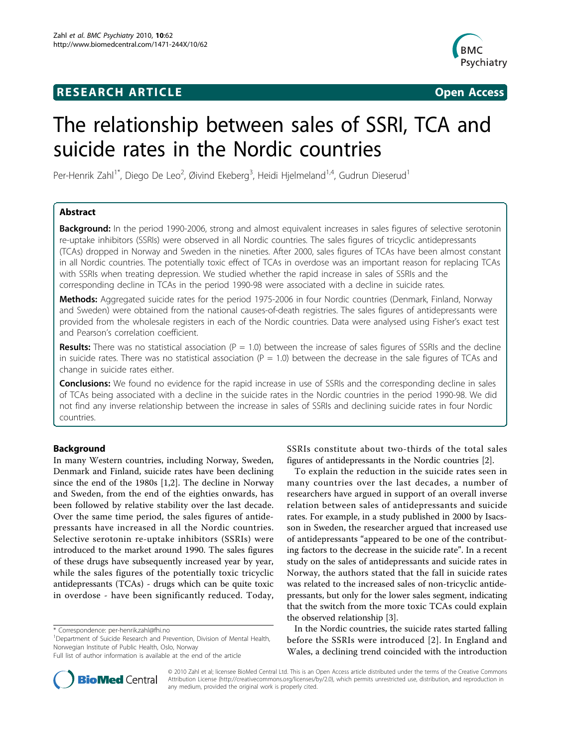## **RESEARCH ARTICLE Example 2018 12:30 THE Open Access**



# The relationship between sales of SSRI, TCA and suicide rates in the Nordic countries

Per-Henrik Zahl<sup>1\*</sup>, Diego De Leo<sup>2</sup>, Øivind Ekeberg<sup>3</sup>, Heidi Hjelmeland<sup>1,4</sup>, Gudrun Dieserud<sup>1</sup>

## Abstract

Background: In the period 1990-2006, strong and almost equivalent increases in sales figures of selective serotonin re-uptake inhibitors (SSRIs) were observed in all Nordic countries. The sales figures of tricyclic antidepressants (TCAs) dropped in Norway and Sweden in the nineties. After 2000, sales figures of TCAs have been almost constant in all Nordic countries. The potentially toxic effect of TCAs in overdose was an important reason for replacing TCAs with SSRIs when treating depression. We studied whether the rapid increase in sales of SSRIs and the corresponding decline in TCAs in the period 1990-98 were associated with a decline in suicide rates.

Methods: Aggregated suicide rates for the period 1975-2006 in four Nordic countries (Denmark, Finland, Norway and Sweden) were obtained from the national causes-of-death registries. The sales figures of antidepressants were provided from the wholesale registers in each of the Nordic countries. Data were analysed using Fisher's exact test and Pearson's correlation coefficient.

**Results:** There was no statistical association ( $P = 1.0$ ) between the increase of sales figures of SSRIs and the decline in suicide rates. There was no statistical association ( $P = 1.0$ ) between the decrease in the sale figures of TCAs and change in suicide rates either.

**Conclusions:** We found no evidence for the rapid increase in use of SSRIs and the corresponding decline in sales of TCAs being associated with a decline in the suicide rates in the Nordic countries in the period 1990-98. We did not find any inverse relationship between the increase in sales of SSRIs and declining suicide rates in four Nordic countries.

## Background

In many Western countries, including Norway, Sweden, Denmark and Finland, suicide rates have been declining since the end of the 1980s [[1,2\]](#page-7-0). The decline in Norway and Sweden, from the end of the eighties onwards, has been followed by relative stability over the last decade. Over the same time period, the sales figures of antidepressants have increased in all the Nordic countries. Selective serotonin re-uptake inhibitors (SSRIs) were introduced to the market around 1990. The sales figures of these drugs have subsequently increased year by year, while the sales figures of the potentially toxic tricyclic antidepressants (TCAs) - drugs which can be quite toxic in overdose - have been significantly reduced. Today,



To explain the reduction in the suicide rates seen in many countries over the last decades, a number of researchers have argued in support of an overall inverse relation between sales of antidepressants and suicide rates. For example, in a study published in 2000 by Isacsson in Sweden, the researcher argued that increased use of antidepressants "appeared to be one of the contributing factors to the decrease in the suicide rate". In a recent study on the sales of antidepressants and suicide rates in Norway, the authors stated that the fall in suicide rates was related to the increased sales of non-tricyclic antidepressants, but only for the lower sales segment, indicating that the switch from the more toxic TCAs could explain the observed relationship [[3\]](#page-7-0).

In the Nordic countries, the suicide rates started falling before the SSRIs were introduced [[2](#page-7-0)]. In England and Wales, a declining trend coincided with the introduction



© 2010 Zahl et al; licensee BioMed Central Ltd. This is an Open Access article distributed under the terms of the Creative Commons Attribution License [\(http://creativecommons.org/licenses/by/2.0](http://creativecommons.org/licenses/by/2.0)), which permits unrestricted use, distribution, and reproduction in any medium, provided the original work is properly cited.

<sup>\*</sup> Correspondence: [per-henrik.zahl@fhi.no](mailto:per-henrik.zahl@fhi.no)

<sup>&</sup>lt;sup>1</sup>Department of Suicide Research and Prevention, Division of Mental Health, Norwegian Institute of Public Health, Oslo, Norway

Full list of author information is available at the end of the article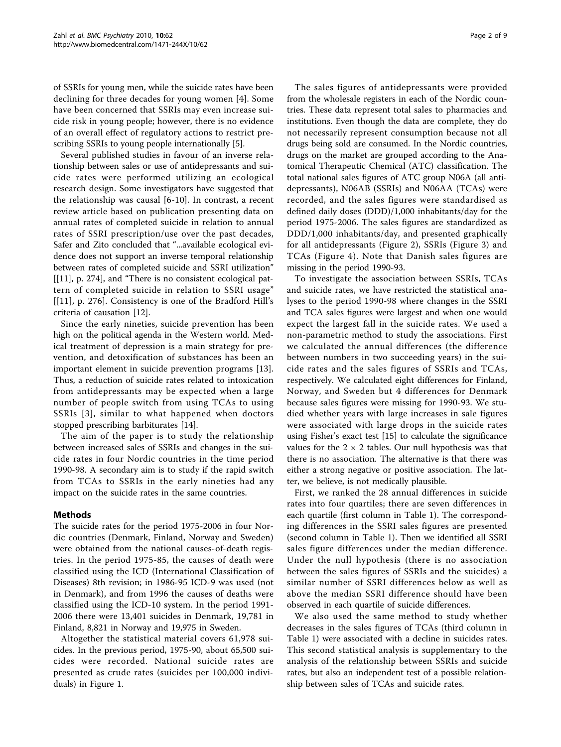of SSRIs for young men, while the suicide rates have been declining for three decades for young women [[4\]](#page-8-0). Some have been concerned that SSRIs may even increase suicide risk in young people; however, there is no evidence of an overall effect of regulatory actions to restrict prescribing SSRIs to young people internationally [[5\]](#page-8-0).

Several published studies in favour of an inverse relationship between sales or use of antidepressants and suicide rates were performed utilizing an ecological research design. Some investigators have suggested that the relationship was causal [[6](#page-8-0)-[10\]](#page-8-0). In contrast, a recent review article based on publication presenting data on annual rates of completed suicide in relation to annual rates of SSRI prescription/use over the past decades, Safer and Zito concluded that "...available ecological evidence does not support an inverse temporal relationship between rates of completed suicide and SSRI utilization" [[[11\]](#page-8-0), p. 274], and "There is no consistent ecological pattern of completed suicide in relation to SSRI usage" [[\[11](#page-8-0)], p. 276]. Consistency is one of the Bradford Hill's criteria of causation [[12](#page-8-0)].

Since the early nineties, suicide prevention has been high on the political agenda in the Western world. Medical treatment of depression is a main strategy for prevention, and detoxification of substances has been an important element in suicide prevention programs [\[13](#page-8-0)]. Thus, a reduction of suicide rates related to intoxication from antidepressants may be expected when a large number of people switch from using TCAs to using SSRIs [[3\]](#page-7-0), similar to what happened when doctors stopped prescribing barbiturates [\[14](#page-8-0)].

The aim of the paper is to study the relationship between increased sales of SSRIs and changes in the suicide rates in four Nordic countries in the time period 1990-98. A secondary aim is to study if the rapid switch from TCAs to SSRIs in the early nineties had any impact on the suicide rates in the same countries.

## Methods

The suicide rates for the period 1975-2006 in four Nordic countries (Denmark, Finland, Norway and Sweden) were obtained from the national causes-of-death registries. In the period 1975-85, the causes of death were classified using the ICD (International Classification of Diseases) 8th revision; in 1986-95 ICD-9 was used (not in Denmark), and from 1996 the causes of deaths were classified using the ICD-10 system. In the period 1991- 2006 there were 13,401 suicides in Denmark, 19,781 in Finland, 8,821 in Norway and 19,975 in Sweden.

Altogether the statistical material covers 61,978 suicides. In the previous period, 1975-90, about 65,500 suicides were recorded. National suicide rates are presented as crude rates (suicides per 100,000 individuals) in Figure [1](#page-2-0).

The sales figures of antidepressants were provided from the wholesale registers in each of the Nordic countries. These data represent total sales to pharmacies and institutions. Even though the data are complete, they do not necessarily represent consumption because not all drugs being sold are consumed. In the Nordic countries, drugs on the market are grouped according to the Anatomical Therapeutic Chemical (ATC) classification. The total national sales figures of ATC group N06A (all antidepressants), N06AB (SSRIs) and N06AA (TCAs) were recorded, and the sales figures were standardised as defined daily doses (DDD)/1,000 inhabitants/day for the period 1975-2006. The sales figures are standardized as DDD/1,000 inhabitants/day, and presented graphically for all antidepressants (Figure [2](#page-2-0)), SSRIs (Figure [3](#page-3-0)) and TCAs (Figure [4\)](#page-3-0). Note that Danish sales figures are missing in the period 1990-93.

To investigate the association between SSRIs, TCAs and suicide rates, we have restricted the statistical analyses to the period 1990-98 where changes in the SSRI and TCA sales figures were largest and when one would expect the largest fall in the suicide rates. We used a non-parametric method to study the associations. First we calculated the annual differences (the difference between numbers in two succeeding years) in the suicide rates and the sales figures of SSRIs and TCAs, respectively. We calculated eight differences for Finland, Norway, and Sweden but 4 differences for Denmark because sales figures were missing for 1990-93. We studied whether years with large increases in sale figures were associated with large drops in the suicide rates using Fisher's exact test [[15\]](#page-8-0) to calculate the significance values for the  $2 \times 2$  tables. Our null hypothesis was that there is no association. The alternative is that there was either a strong negative or positive association. The latter, we believe, is not medically plausible.

First, we ranked the 28 annual differences in suicide rates into four quartiles; there are seven differences in each quartile (first column in Table [1\)](#page-4-0). The corresponding differences in the SSRI sales figures are presented (second column in Table [1](#page-4-0)). Then we identified all SSRI sales figure differences under the median difference. Under the null hypothesis (there is no association between the sales figures of SSRIs and the suicides) a similar number of SSRI differences below as well as above the median SSRI difference should have been observed in each quartile of suicide differences.

We also used the same method to study whether decreases in the sales figures of TCAs (third column in Table [1\)](#page-4-0) were associated with a decline in suicides rates. This second statistical analysis is supplementary to the analysis of the relationship between SSRIs and suicide rates, but also an independent test of a possible relationship between sales of TCAs and suicide rates.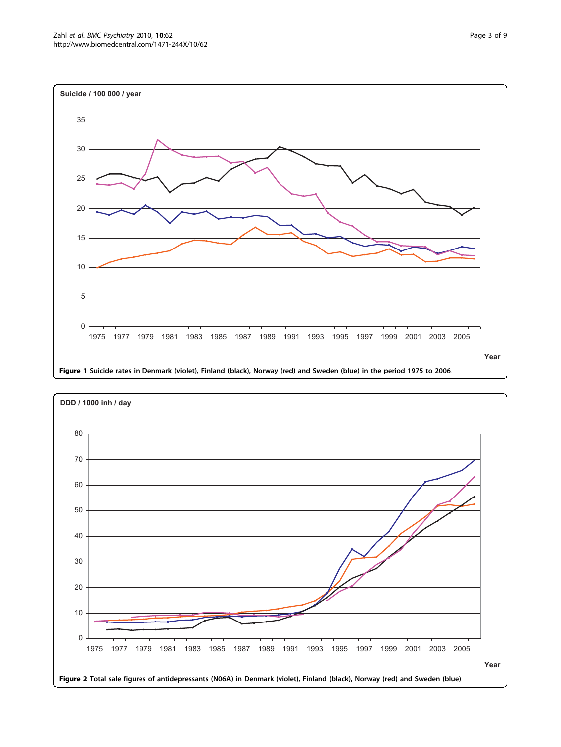<span id="page-2-0"></span>

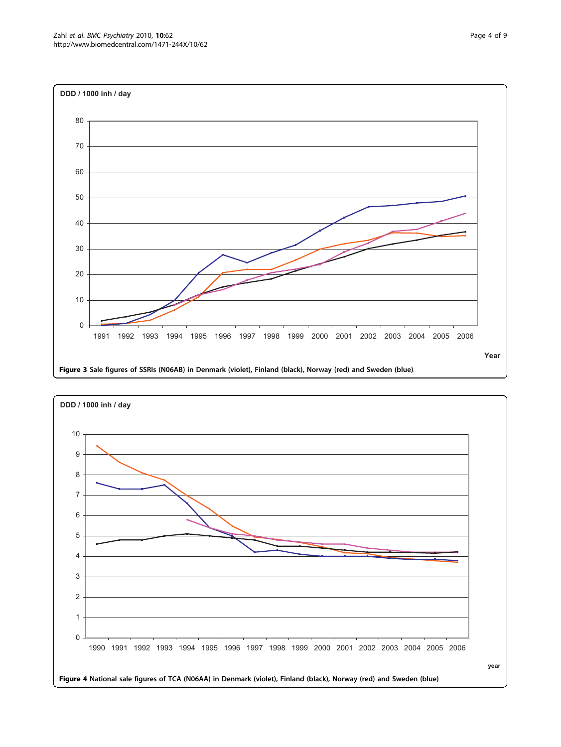<span id="page-3-0"></span>

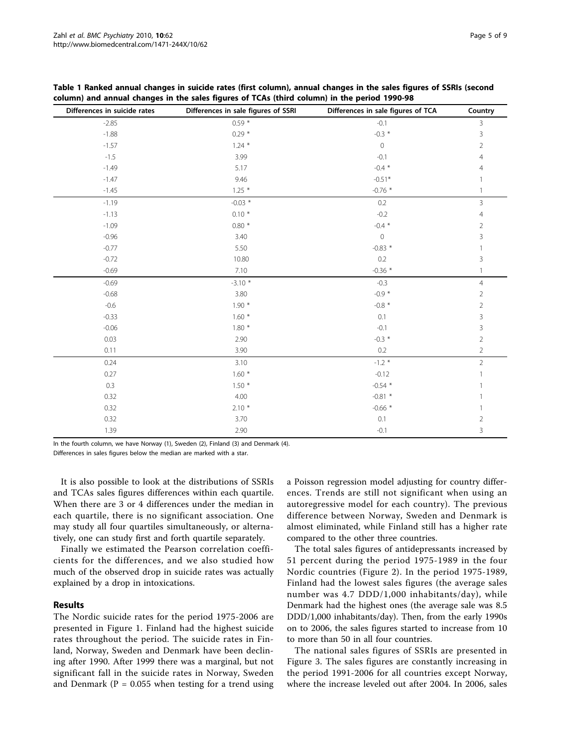| Differences in suicide rates | Differences in sale figures of SSRI | Differences in sale figures of TCA | Country                   |
|------------------------------|-------------------------------------|------------------------------------|---------------------------|
| $-2.85$                      | $0.59*$                             | $-0.1$                             | 3                         |
| $-1.88$                      | $0.29*$                             | $-0.3 *$                           | $\ensuremath{\mathsf{3}}$ |
| $-1.57$                      | $1.24$ *                            | $\mathbf 0$                        | $\overline{2}$            |
| $-1.5$                       | 3.99                                | $-0.1$                             | $\overline{4}$            |
| $-1.49$                      | 5.17                                | $-0.4$ *                           | 4                         |
| $-1.47$                      | 9.46                                | $-0.51*$                           | $\mathbf{1}$              |
| $-1.45$                      | $1.25*$                             | $-0.76$ *                          | $\mathbf{1}$              |
| $-1.19$                      | $-0.03$ *                           | 0.2                                | 3                         |
| $-1.13$                      | $0.10*$                             | $-0.2$                             | $\overline{4}$            |
| $-1.09$                      | $0.80*$                             | -0.4 $^{\ast}$                     | $\sqrt{2}$                |
| $-0.96$                      | 3.40                                | $\mathbb O$                        | 3                         |
| $-0.77$                      | 5.50                                | $-0.83$ *                          | 1                         |
| $-0.72$                      | 10.80                               | 0.2                                | 3                         |
| $-0.69$                      | 7.10                                | $-0.36$ *                          | $\mathbf{1}$              |
| $-0.69$                      | $-3.10*$                            | $-0.3$                             | $\overline{4}$            |
| $-0.68$                      | 3.80                                | $-0.9*$                            | $\overline{2}$            |
| $-0.6$                       | $1.90*$                             | $-0.8*$                            | $\sqrt{2}$                |
| $-0.33$                      | $1.60*$                             | 0.1                                | $\overline{3}$            |
| $-0.06$                      | $1.80*$                             | $-0.1$                             | 3                         |
| 0.03                         | 2.90                                | $-0.3$ *                           | $\overline{2}$            |
| 0.11                         | 3.90                                | 0.2                                | $\overline{2}$            |
| 0.24                         | 3.10                                | $-1.2$ *                           | $\overline{2}$            |
| 0.27                         | $1.60*$                             | $-0.12$                            |                           |
| 0.3                          | $1.50*$                             | $-0.54$ *                          |                           |
| 0.32                         | 4.00                                | $-0.81$ *                          |                           |
| 0.32                         | $2.10*$                             | $-0.66$ *                          |                           |
| 0.32                         | 3.70                                | 0.1                                | $\overline{2}$            |
| 1.39                         | 2.90                                | $-0.1$                             | 3                         |

<span id="page-4-0"></span>Table 1 Ranked annual changes in suicide rates (first column), annual changes in the sales figures of SSRIs (second column) and annual changes in the sales figures of TCAs (third column) in the period 1990-98

In the fourth column, we have Norway (1), Sweden (2), Finland (3) and Denmark (4).

Differences in sales figures below the median are marked with a star.

It is also possible to look at the distributions of SSRIs and TCAs sales figures differences within each quartile. When there are 3 or 4 differences under the median in each quartile, there is no significant association. One may study all four quartiles simultaneously, or alternatively, one can study first and forth quartile separately.

Finally we estimated the Pearson correlation coefficients for the differences, and we also studied how much of the observed drop in suicide rates was actually explained by a drop in intoxications.

## Results

The Nordic suicide rates for the period 1975-2006 are presented in Figure [1](#page-2-0). Finland had the highest suicide rates throughout the period. The suicide rates in Finland, Norway, Sweden and Denmark have been declining after 1990. After 1999 there was a marginal, but not significant fall in the suicide rates in Norway, Sweden and Denmark ( $P = 0.055$  when testing for a trend using a Poisson regression model adjusting for country differences. Trends are still not significant when using an autoregressive model for each country). The previous difference between Norway, Sweden and Denmark is almost eliminated, while Finland still has a higher rate compared to the other three countries.

The total sales figures of antidepressants increased by 51 percent during the period 1975-1989 in the four Nordic countries (Figure [2](#page-2-0)). In the period 1975-1989, Finland had the lowest sales figures (the average sales number was 4.7 DDD/1,000 inhabitants/day), while Denmark had the highest ones (the average sale was 8.5 DDD/1,000 inhabitants/day). Then, from the early 1990s on to 2006, the sales figures started to increase from 10 to more than 50 in all four countries.

The national sales figures of SSRIs are presented in Figure [3.](#page-3-0) The sales figures are constantly increasing in the period 1991-2006 for all countries except Norway, where the increase leveled out after 2004. In 2006, sales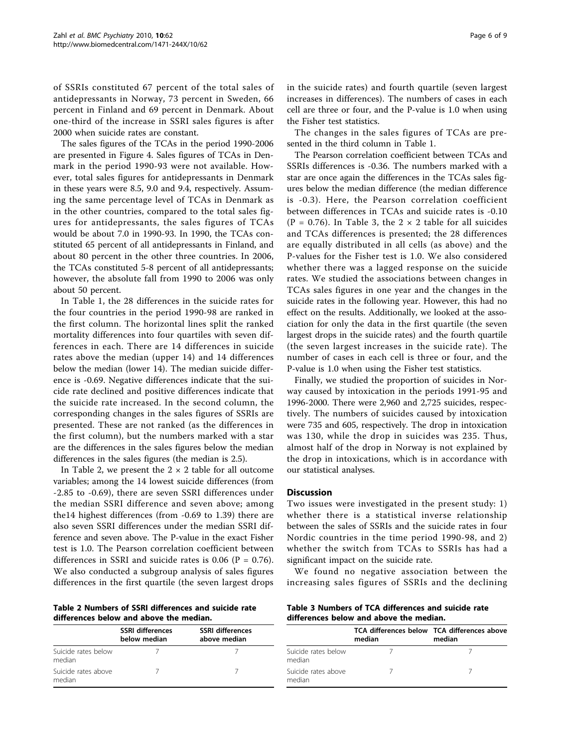<span id="page-5-0"></span>of SSRIs constituted 67 percent of the total sales of antidepressants in Norway, 73 percent in Sweden, 66 percent in Finland and 69 percent in Denmark. About one-third of the increase in SSRI sales figures is after 2000 when suicide rates are constant.

The sales figures of the TCAs in the period 1990-2006 are presented in Figure [4.](#page-3-0) Sales figures of TCAs in Denmark in the period 1990-93 were not available. However, total sales figures for antidepressants in Denmark in these years were 8.5, 9.0 and 9.4, respectively. Assuming the same percentage level of TCAs in Denmark as in the other countries, compared to the total sales figures for antidepressants, the sales figures of TCAs would be about 7.0 in 1990-93. In 1990, the TCAs constituted 65 percent of all antidepressants in Finland, and about 80 percent in the other three countries. In 2006, the TCAs constituted 5-8 percent of all antidepressants; however, the absolute fall from 1990 to 2006 was only about 50 percent.

In Table [1](#page-4-0), the 28 differences in the suicide rates for the four countries in the period 1990-98 are ranked in the first column. The horizontal lines split the ranked mortality differences into four quartiles with seven differences in each. There are 14 differences in suicide rates above the median (upper 14) and 14 differences below the median (lower 14). The median suicide difference is -0.69. Negative differences indicate that the suicide rate declined and positive differences indicate that the suicide rate increased. In the second column, the corresponding changes in the sales figures of SSRIs are presented. These are not ranked (as the differences in the first column), but the numbers marked with a star are the differences in the sales figures below the median differences in the sales figures (the median is 2.5).

In Table 2, we present the  $2 \times 2$  table for all outcome variables; among the 14 lowest suicide differences (from -2.85 to -0.69), there are seven SSRI differences under the median SSRI difference and seven above; among the14 highest differences (from -0.69 to 1.39) there are also seven SSRI differences under the median SSRI difference and seven above. The P-value in the exact Fisher test is 1.0. The Pearson correlation coefficient between differences in SSRI and suicide rates is  $0.06$  (P = 0.76). We also conducted a subgroup analysis of sales figures differences in the first quartile (the seven largest drops

Table 2 Numbers of SSRI differences and suicide rate differences below and above the median.

|                               | <b>SSRI differences</b><br>below median | <b>SSRI differences</b><br>above median |
|-------------------------------|-----------------------------------------|-----------------------------------------|
| Suicide rates below<br>median |                                         |                                         |
| Suicide rates above<br>median |                                         |                                         |

in the suicide rates) and fourth quartile (seven largest increases in differences). The numbers of cases in each cell are three or four, and the P-value is 1.0 when using the Fisher test statistics.

The changes in the sales figures of TCAs are presented in the third column in Table [1.](#page-4-0)

The Pearson correlation coefficient between TCAs and SSRIs differences is -0.36. The numbers marked with a star are once again the differences in the TCAs sales figures below the median difference (the median difference is -0.3). Here, the Pearson correlation coefficient between differences in TCAs and suicide rates is -0.10 (P = 0.76). In Table 3, the  $2 \times 2$  table for all suicides and TCAs differences is presented; the 28 differences are equally distributed in all cells (as above) and the P-values for the Fisher test is 1.0. We also considered whether there was a lagged response on the suicide rates. We studied the associations between changes in TCAs sales figures in one year and the changes in the suicide rates in the following year. However, this had no effect on the results. Additionally, we looked at the association for only the data in the first quartile (the seven largest drops in the suicide rates) and the fourth quartile (the seven largest increases in the suicide rate). The number of cases in each cell is three or four, and the P-value is 1.0 when using the Fisher test statistics.

Finally, we studied the proportion of suicides in Norway caused by intoxication in the periods 1991-95 and 1996-2000. There were 2,960 and 2,725 suicides, respectively. The numbers of suicides caused by intoxication were 735 and 605, respectively. The drop in intoxication was 130, while the drop in suicides was 235. Thus, almost half of the drop in Norway is not explained by the drop in intoxications, which is in accordance with our statistical analyses.

## **Discussion**

Two issues were investigated in the present study: 1) whether there is a statistical inverse relationship between the sales of SSRIs and the suicide rates in four Nordic countries in the time period 1990-98, and 2) whether the switch from TCAs to SSRIs has had a significant impact on the suicide rate.

We found no negative association between the increasing sales figures of SSRIs and the declining

Table 3 Numbers of TCA differences and suicide rate differences below and above the median.

|                               | median | TCA differences below TCA differences above<br>median |
|-------------------------------|--------|-------------------------------------------------------|
| Suicide rates below<br>median |        |                                                       |
| Suicide rates above<br>median |        |                                                       |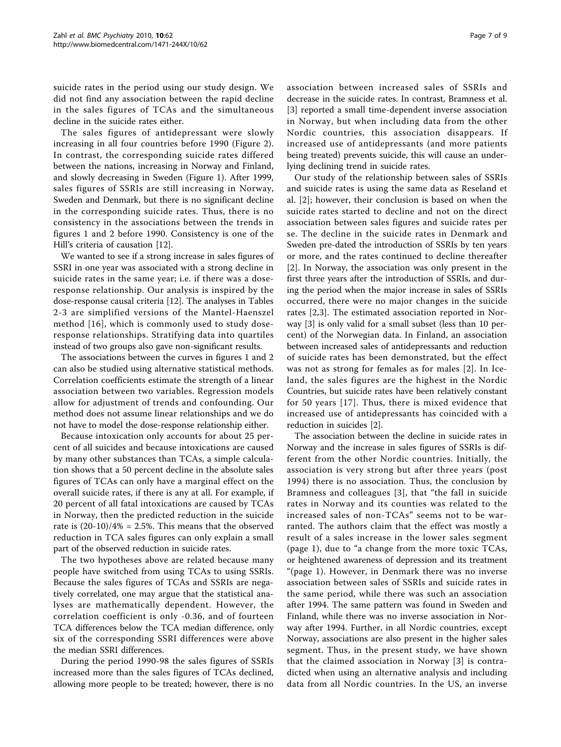suicide rates in the period using our study design. We did not find any association between the rapid decline in the sales figures of TCAs and the simultaneous decline in the suicide rates either.

The sales figures of antidepressant were slowly increasing in all four countries before 1990 (Figure [2](#page-2-0)). In contrast, the corresponding suicide rates differed between the nations, increasing in Norway and Finland, and slowly decreasing in Sweden (Figure [1\)](#page-2-0). After 1999, sales figures of SSRIs are still increasing in Norway, Sweden and Denmark, but there is no significant decline in the corresponding suicide rates. Thus, there is no consistency in the associations between the trends in figures [1](#page-2-0) and [2](#page-2-0) before 1990. Consistency is one of the Hill's criteria of causation [[12](#page-8-0)].

We wanted to see if a strong increase in sales figures of SSRI in one year was associated with a strong decline in suicide rates in the same year; i.e. if there was a doseresponse relationship. Our analysis is inspired by the dose-response causal criteria [[12\]](#page-8-0). The analyses in Tables [2](#page-5-0)-[3](#page-5-0) are simplified versions of the Mantel-Haenszel method [[16](#page-8-0)], which is commonly used to study doseresponse relationships. Stratifying data into quartiles instead of two groups also gave non-significant results.

The associations between the curves in figures [1](#page-2-0) and [2](#page-2-0) can also be studied using alternative statistical methods. Correlation coefficients estimate the strength of a linear association between two variables. Regression models allow for adjustment of trends and confounding. Our method does not assume linear relationships and we do not have to model the dose-response relationship either.

Because intoxication only accounts for about 25 percent of all suicides and because intoxications are caused by many other substances than TCAs, a simple calculation shows that a 50 percent decline in the absolute sales figures of TCAs can only have a marginal effect on the overall suicide rates, if there is any at all. For example, if 20 percent of all fatal intoxications are caused by TCAs in Norway, then the predicted reduction in the suicide rate is  $(20-10)/4\% = 2.5\%$ . This means that the observed reduction in TCA sales figures can only explain a small part of the observed reduction in suicide rates.

The two hypotheses above are related because many people have switched from using TCAs to using SSRIs. Because the sales figures of TCAs and SSRIs are negatively correlated, one may argue that the statistical analyses are mathematically dependent. However, the correlation coefficient is only -0.36, and of fourteen TCA differences below the TCA median difference, only six of the corresponding SSRI differences were above the median SSRI differences.

During the period 1990-98 the sales figures of SSRIs increased more than the sales figures of TCAs declined, allowing more people to be treated; however, there is no association between increased sales of SSRIs and decrease in the suicide rates. In contrast, Bramness et al. [[3\]](#page-7-0) reported a small time-dependent inverse association in Norway, but when including data from the other Nordic countries, this association disappears. If increased use of antidepressants (and more patients being treated) prevents suicide, this will cause an underlying declining trend in suicide rates.

Our study of the relationship between sales of SSRIs and suicide rates is using the same data as Reseland et al. [[2](#page-7-0)]; however, their conclusion is based on when the suicide rates started to decline and not on the direct association between sales figures and suicide rates per se. The decline in the suicide rates in Denmark and Sweden pre-dated the introduction of SSRIs by ten years or more, and the rates continued to decline thereafter [[2](#page-7-0)]. In Norway, the association was only present in the first three years after the introduction of SSRIs, and during the period when the major increase in sales of SSRIs occurred, there were no major changes in the suicide rates [[2,3](#page-7-0)]. The estimated association reported in Norway [[3\]](#page-7-0) is only valid for a small subset (less than 10 percent) of the Norwegian data. In Finland, an association between increased sales of antidepressants and reduction of suicide rates has been demonstrated, but the effect was not as strong for females as for males [[2](#page-7-0)]. In Iceland, the sales figures are the highest in the Nordic Countries, but suicide rates have been relatively constant for 50 years [\[17\]](#page-8-0). Thus, there is mixed evidence that increased use of antidepressants has coincided with a reduction in suicides [\[2](#page-7-0)].

The association between the decline in suicide rates in Norway and the increase in sales figures of SSRIs is different from the other Nordic countries. Initially, the association is very strong but after three years (post 1994) there is no association. Thus, the conclusion by Bramness and colleagues [[3](#page-7-0)], that "the fall in suicide rates in Norway and its counties was related to the increased sales of non-TCAs" seems not to be warranted. The authors claim that the effect was mostly a result of a sales increase in the lower sales segment (page 1), due to "a change from the more toxic TCAs, or heightened awareness of depression and its treatment "(page 1). However, in Denmark there was no inverse association between sales of SSRIs and suicide rates in the same period, while there was such an association after 1994. The same pattern was found in Sweden and Finland, while there was no inverse association in Norway after 1994. Further, in all Nordic countries, except Norway, associations are also present in the higher sales segment. Thus, in the present study, we have shown that the claimed association in Norway [\[3\]](#page-7-0) is contradicted when using an alternative analysis and including data from all Nordic countries. In the US, an inverse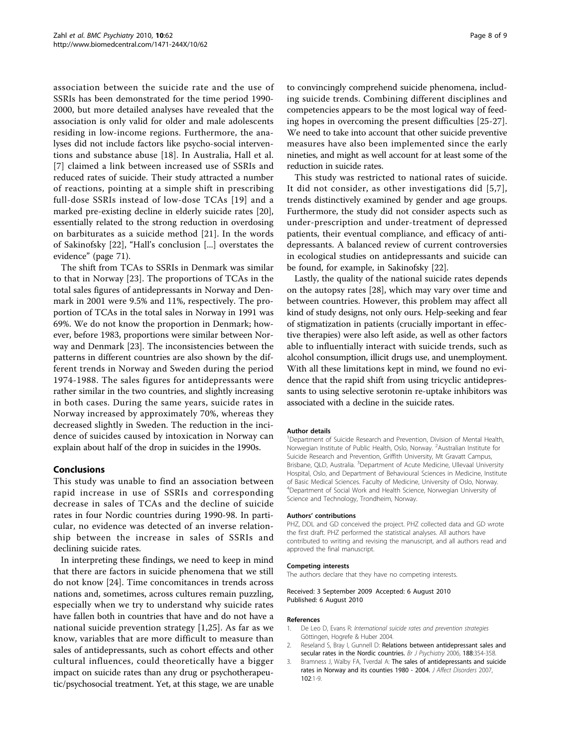<span id="page-7-0"></span>association between the suicide rate and the use of SSRIs has been demonstrated for the time period 1990- 2000, but more detailed analyses have revealed that the association is only valid for older and male adolescents residing in low-income regions. Furthermore, the analyses did not include factors like psycho-social interventions and substance abuse [[18](#page-8-0)]. In Australia, Hall et al. [[7](#page-8-0)] claimed a link between increased use of SSRIs and reduced rates of suicide. Their study attracted a number of reactions, pointing at a simple shift in prescribing full-dose SSRIs instead of low-dose TCAs [[19](#page-8-0)] and a marked pre-existing decline in elderly suicide rates [\[20](#page-8-0)], essentially related to the strong reduction in overdosing on barbiturates as a suicide method [[21](#page-8-0)]. In the words of Sakinofsky [[22\]](#page-8-0), "Hall's conclusion [...] overstates the evidence" (page 71).

The shift from TCAs to SSRIs in Denmark was similar to that in Norway [[23\]](#page-8-0). The proportions of TCAs in the total sales figures of antidepressants in Norway and Denmark in 2001 were 9.5% and 11%, respectively. The proportion of TCAs in the total sales in Norway in 1991 was 69%. We do not know the proportion in Denmark; however, before 1983, proportions were similar between Norway and Denmark [[23\]](#page-8-0). The inconsistencies between the patterns in different countries are also shown by the different trends in Norway and Sweden during the period 1974-1988. The sales figures for antidepressants were rather similar in the two countries, and slightly increasing in both cases. During the same years, suicide rates in Norway increased by approximately 70%, whereas they decreased slightly in Sweden. The reduction in the incidence of suicides caused by intoxication in Norway can explain about half of the drop in suicides in the 1990s.

## Conclusions

This study was unable to find an association between rapid increase in use of SSRIs and corresponding decrease in sales of TCAs and the decline of suicide rates in four Nordic countries during 1990-98. In particular, no evidence was detected of an inverse relationship between the increase in sales of SSRIs and declining suicide rates.

In interpreting these findings, we need to keep in mind that there are factors in suicide phenomena that we still do not know [[24](#page-8-0)]. Time concomitances in trends across nations and, sometimes, across cultures remain puzzling, especially when we try to understand why suicide rates have fallen both in countries that have and do not have a national suicide prevention strategy [1,[25\]](#page-8-0). As far as we know, variables that are more difficult to measure than sales of antidepressants, such as cohort effects and other cultural influences, could theoretically have a bigger impact on suicide rates than any drug or psychotherapeutic/psychosocial treatment. Yet, at this stage, we are unable

to convincingly comprehend suicide phenomena, including suicide trends. Combining different disciplines and competencies appears to be the most logical way of feeding hopes in overcoming the present difficulties [[25-27](#page-8-0)]. We need to take into account that other suicide preventive measures have also been implemented since the early nineties, and might as well account for at least some of the reduction in suicide rates.

This study was restricted to national rates of suicide. It did not consider, as other investigations did [[5](#page-8-0),[7\]](#page-8-0), trends distinctively examined by gender and age groups. Furthermore, the study did not consider aspects such as under-prescription and under-treatment of depressed patients, their eventual compliance, and efficacy of antidepressants. A balanced review of current controversies in ecological studies on antidepressants and suicide can be found, for example, in Sakinofsky [\[22](#page-8-0)].

Lastly, the quality of the national suicide rates depends on the autopsy rates [[28\]](#page-8-0), which may vary over time and between countries. However, this problem may affect all kind of study designs, not only ours. Help-seeking and fear of stigmatization in patients (crucially important in effective therapies) were also left aside, as well as other factors able to influentially interact with suicide trends, such as alcohol consumption, illicit drugs use, and unemployment. With all these limitations kept in mind, we found no evidence that the rapid shift from using tricyclic antidepressants to using selective serotonin re-uptake inhibitors was associated with a decline in the suicide rates.

#### Author details

<sup>1</sup>Department of Suicide Research and Prevention, Division of Mental Health Norwegian Institute of Public Health, Oslo, Norway. <sup>2</sup>Australian Institute for Suicide Research and Prevention, Griffith University, Mt Gravatt Campus, Brisbane, QLD, Australia. <sup>3</sup>Department of Acute Medicine, Ullevaal University Hospital, Oslo, and Department of Behavioural Sciences in Medicine, Institute of Basic Medical Sciences. Faculty of Medicine, University of Oslo, Norway. 4 Department of Social Work and Health Science, Norwegian University of Science and Technology, Trondheim, Norway.

#### Authors' contributions

PHZ, DDL and GD conceived the project. PHZ collected data and GD wrote the first draft. PHZ performed the statistical analyses. All authors have contributed to writing and revising the manuscript, and all authors read and approved the final manuscript.

#### Competing interests

The authors declare that they have no competing interests.

#### Received: 3 September 2009 Accepted: 6 August 2010 Published: 6 August 2010

#### References

- 1. De Leo D, Evans R: International suicide rates and prevention strategies Göttingen, Hogrefe & Huber 2004.
- 2. Reseland S, Bray I, Gunnell D: [Relations between antidepressant sales and](http://www.ncbi.nlm.nih.gov/pubmed/16582062?dopt=Abstract) [secular rates in the Nordic countries.](http://www.ncbi.nlm.nih.gov/pubmed/16582062?dopt=Abstract) Br J Psychiatry 2006, 188:354-358.
- 3. Bramness J, Walby FA, Tverdal A: [The sales of antidepressants and suicide](http://www.ncbi.nlm.nih.gov/pubmed/17223200?dopt=Abstract) [rates in Norway and its counties 1980 - 2004.](http://www.ncbi.nlm.nih.gov/pubmed/17223200?dopt=Abstract) J Affect Disorders 2007, 102:1-9.